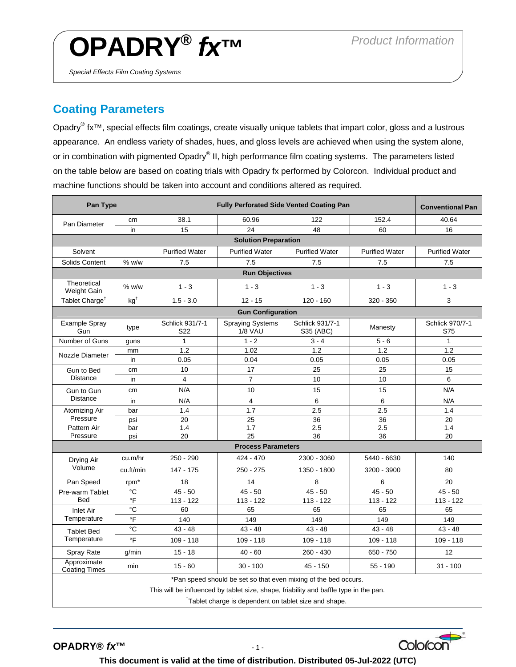## **OPADRY®** *fx***™** *Product Information*

*Special Effects Film Coating Systems* 

## **Coating Parameters**

Opadry<sup>®</sup> fx<sup>™</sup>, special effects film coatings, create visually unique tablets that impart color, gloss and a lustrous appearance. An endless variety of shades, hues, and gloss levels are achieved when using the system alone, or in combination with pigmented Opadry® II, high performance film coating systems. The parameters listed on the table below are based on coating trials with Opadry fx performed by Colorcon. Individual product and machine functions should be taken into account and conditions altered as required.

| Pan Type                                                                              |                  | <b>Fully Perforated Side Vented Coating Pan</b> |                                           |                              |                       | <b>Conventional Pan</b> |
|---------------------------------------------------------------------------------------|------------------|-------------------------------------------------|-------------------------------------------|------------------------------|-----------------------|-------------------------|
| Pan Diameter                                                                          | cm               | 38.1                                            | 60.96                                     | 122                          | 152.4                 | 40.64                   |
|                                                                                       | in               | 15                                              | 24                                        | 48                           | 60                    | 16                      |
| <b>Solution Preparation</b>                                                           |                  |                                                 |                                           |                              |                       |                         |
| Solvent                                                                               |                  | <b>Purified Water</b>                           | <b>Purified Water</b>                     | <b>Purified Water</b>        | <b>Purified Water</b> | <b>Purified Water</b>   |
| Solids Content                                                                        | $%$ w/w          | 7.5                                             | 7.5                                       | 7.5                          | 7.5                   | 7.5                     |
| <b>Run Objectives</b>                                                                 |                  |                                                 |                                           |                              |                       |                         |
| Theoretical<br>Weight Gain                                                            | $%$ w/w          | $1 - 3$                                         | $1 - 3$                                   | $1 - 3$                      | $1 - 3$               | $1 - 3$                 |
| Tablet Charge <sup>T</sup>                                                            | $kq^{\dagger}$   | $1.5 - 3.0$                                     | $12 - 15$                                 | $120 - 160$                  | $320 - 350$           | 3                       |
| <b>Gun Configuration</b>                                                              |                  |                                                 |                                           |                              |                       |                         |
| Example Spray<br>Gun                                                                  | type             | Schlick 931/7-1<br>S <sub>22</sub>              | <b>Spraying Systems</b><br><b>1/8 VAU</b> | Schlick 931/7-1<br>S35 (ABC) | Manesty               | Schlick 970/7-1<br>S75  |
| Number of Guns                                                                        | guns             | 1                                               | $1 - 2$                                   | $3 - 4$                      | $5 - 6$               | $\mathbf{1}$            |
| Nozzle Diameter                                                                       | mm               | 1.2                                             | 1.02                                      | 1.2                          | 1.2                   | 1.2                     |
|                                                                                       | in               | 0.05                                            | 0.04                                      | 0.05                         | 0.05                  | 0.05                    |
| Gun to Bed<br><b>Distance</b>                                                         | cm               | 10                                              | 17                                        | 25                           | 25                    | 15                      |
|                                                                                       | in               | 4                                               | $\overline{7}$                            | 10                           | 10                    | 6                       |
| Gun to Gun<br><b>Distance</b>                                                         | cm               | N/A                                             | 10                                        | 15                           | 15                    | N/A                     |
|                                                                                       | in               | N/A                                             | 4                                         | 6                            | 6                     | N/A                     |
| Atomizing Air<br>Pressure                                                             | bar              | 1.4                                             | 1.7                                       | 2.5                          | 2.5                   | 1.4                     |
|                                                                                       | psi              | 20                                              | 25                                        | 36                           | 36                    | 20                      |
| Pattern Air                                                                           | bar              | 1.4                                             | 1.7                                       | 2.5                          | 2.5                   | 1.4                     |
| Pressure                                                                              | psi              | 20                                              | 25                                        | 36                           | 36                    | 20                      |
| <b>Process Parameters</b>                                                             |                  |                                                 |                                           |                              |                       |                         |
| Drying Air<br>Volume                                                                  | cu.m/hr          | $250 - 290$                                     | 424 - 470                                 | 2300 - 3060                  | 5440 - 6630           | 140                     |
|                                                                                       | cu.ft/min        | 147 - 175                                       | $250 - 275$                               | 1350 - 1800                  | 3200 - 3900           | 80                      |
| Pan Speed                                                                             | rpm <sup>*</sup> | 18                                              | 14                                        | 8                            | 6                     | 20                      |
| Pre-warm Tablet<br><b>Bed</b>                                                         | ്                | $45 - 50$                                       | $45 - 50$                                 | $45 - 50$                    | $45 - 50$             | $45 - 50$               |
|                                                                                       | $\circ$ F        | $113 - 122$                                     | $113 - 122$                               | $113 - 122$                  | $113 - 122$           | $113 - 122$             |
| Inlet Air<br>Temperature                                                              | °C               | 60                                              | 65                                        | 65                           | 65                    | 65                      |
|                                                                                       | °F               | 140                                             | 149                                       | 149                          | 149                   | 149                     |
| <b>Tablet Bed</b><br>Temperature                                                      | $\rm ^{\circ}C$  | $43 - 48$                                       | $43 - 48$                                 | $43 - 48$                    | $43 - 48$             | $43 - 48$               |
|                                                                                       | °F               | $109 - 118$                                     | $109 - 118$                               | $109 - 118$                  | $109 - 118$           | $109 - 118$             |
| Spray Rate                                                                            | g/min            | $15 - 18$                                       | $40 - 60$                                 | 260 - 430                    | 650 - 750             | 12                      |
| Approximate<br><b>Coating Times</b>                                                   | min              | $15 - 60$                                       | $30 - 100$                                | $45 - 150$                   | $55 - 190$            | $31 - 100$              |
| *Pan speed should be set so that even mixing of the bed occurs.                       |                  |                                                 |                                           |                              |                       |                         |
| This will be influenced by tablet size, shape, friability and baffle type in the pan. |                  |                                                 |                                           |                              |                       |                         |
| <sup>†</sup> Tablet charge is dependent on tablet size and shape.                     |                  |                                                 |                                           |                              |                       |                         |

**OPADRY®** *fx***™** - 1 -



Colorcor